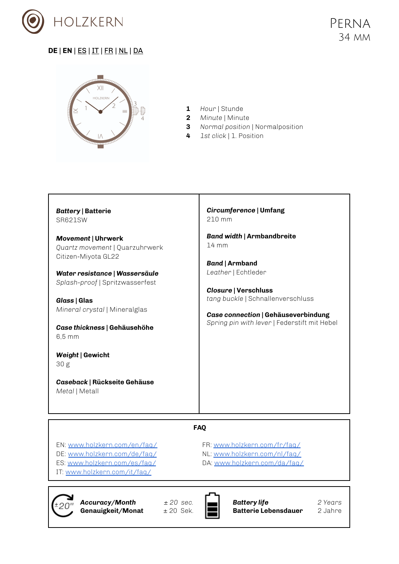

Г

## <span id="page-0-0"></span>**DE** | **[EN](#page-0-0)** | [ES](#page-2-0) | IT | FR | [NL](#page-4-0) | [DA](#page-6-0)



**1** *Hour* | Stunde

т

- **2** *Minute* | Minute
- **3** *Normal position* | Normalposition
- **4** *1st click* | 1. Position

| <b>Battery   Batterie</b>                                                                                                                                                                                     | Circumference   Umfang                                                                                                                                                         |
|---------------------------------------------------------------------------------------------------------------------------------------------------------------------------------------------------------------|--------------------------------------------------------------------------------------------------------------------------------------------------------------------------------|
| SR621SW                                                                                                                                                                                                       | 210 mm                                                                                                                                                                         |
| <b>Movement   Uhrwerk</b>                                                                                                                                                                                     | <b>Band width   Armbandbreite</b>                                                                                                                                              |
| Quartz movement   Quarzuhrwerk                                                                                                                                                                                | $14 \text{ mm}$                                                                                                                                                                |
| Citizen-Miyota GL22                                                                                                                                                                                           | <b>Band   Armband</b>                                                                                                                                                          |
| Water resistance   Wassersäule<br>Splash-proof   Spritzwasserfest<br>Glass   Glas<br>Mineral crystal   Mineralglas<br>Case thickness   Gehäusehöhe<br>$6.5 \text{ mm}$<br>Weight   Gewicht<br>30 <sub>g</sub> | Leather   Echtleder<br><b>Closure   Verschluss</b><br>tang buckle   Schnallenverschluss<br>Case connection   Gehäuseverbindung<br>Spring pin with lever   Federstift mit Hebel |
| Caseback   Rückseite Gehäuse<br>Metal   Metall                                                                                                                                                                |                                                                                                                                                                                |

#### **FAQ**

EN: [www.holzkern.com/en/faq/](https://www.holzkern.com/en/faq/) DE: [www.holzkern.com/de/faq/](https://www.holzkern.com/faq/) ES: [www.holzkern.com/es/faq/](https://www.holzkern.com/es/faq/) IT: [www.holzkern.com/it/faq/](https://www.holzkern.com/it/faq/)

FR: [www.holzkern.com/fr/faq/](http://www.holzkern.com/fr/faq/) NL: [www.holzkern.com/nl/faq/](http://www.holzkern.com/nl/faq/) DA: [www.holzkern.com/da/faq/](http://www.holzkern.com/da/faq/)



*Accuracy/Month ± 20 sec.* Genauigkeit/Monat



*Battery life 2 Years* **Batterie Lebensdauer**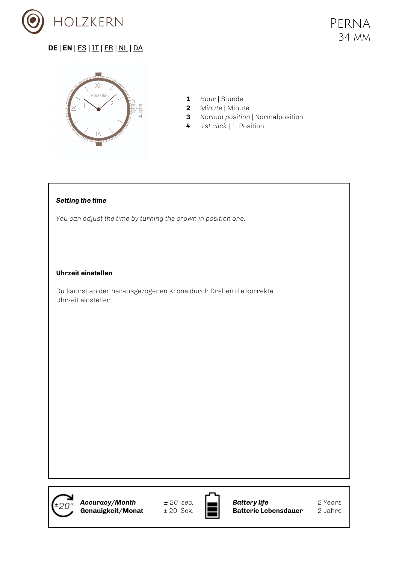



- **1** *Hour* | Stunde
- **2** *Minute* | Minute
- **3** *Normal position* | Normalposition
- **4** *1st click* | 1. Position

#### *Setting the time*

*You can adjust the time by turning the crown in position one.*

#### **Uhrzeit einstellen**

Du kannst an der herausgezogenen Krone durch Drehen die korrekte Uhrzeit einstellen.

*Accuracy/Month ± 20 sec.* Genauigkeit/Monat



*Battery life 2 Years* **Batterie Lebensdauer**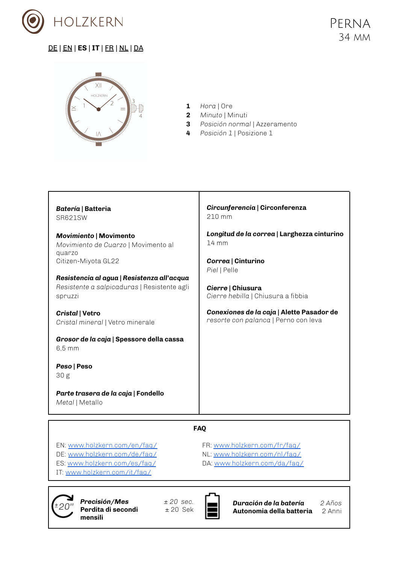

<span id="page-2-0"></span>

- **1** *Hora* | Ore
- **2** *Minuto* | Minuti
- **3** *Posición normal* | Azzeramento
- **4** *Posición 1* | Posizione 1

| Batería   Batteria<br>SR621SW                                                  | Circunferencia   Circonferenza<br>210 mm                                          |  |
|--------------------------------------------------------------------------------|-----------------------------------------------------------------------------------|--|
| <b>Movimiento   Movimento</b><br>Movimiento de Cuarzo   Movimento al<br>quarzo | Longitud de la correa   Larghezza cinturino<br>$14 \, \text{mm}$                  |  |
| Citizen-Miyota GL22<br>Resistencia al agua   Resistenza all'acqua              | Correa   Cinturino<br>Piel   Pelle                                                |  |
| Resistente a salpicaduras   Resistente agli<br>spruzzi                         | Cierre   Chiusura<br>Cierre hebilla   Chiusura a fibbia                           |  |
| Cristal   Vetro<br>Cristal mineral   Vetro minerale                            | Conexiones de la caja   Alette Pasador de<br>resorte con palanca   Perno con leva |  |
| Grosor de la caja   Spessore della cassa<br>$6.5 \text{ mm}$                   |                                                                                   |  |
| Peso   Peso                                                                    |                                                                                   |  |
| 30g                                                                            |                                                                                   |  |
| Parte trasera de la caja   Fondello<br>Metal   Metallo                         |                                                                                   |  |
| <b>FAO</b>                                                                     |                                                                                   |  |

EN: [www.holzkern.com/en/faq/](https://www.holzkern.com/en/faq/) DE: [www.holzkern.com/de/faq/](https://www.holzkern.com/faq/) ES: [www.holzkern.com/es/faq/](https://www.holzkern.com/es/faq/) IT: [www.holzkern.com/it/faq/](https://www.holzkern.com/it/faq/)

FR: [www.holzkern.com/fr/faq/](http://www.holzkern.com/fr/faq/) NL: [www.holzkern.com/nl/faq/](http://www.holzkern.com/nl/faq/) DA: [www.holzkern.com/da/faq/](http://www.holzkern.com/da/faq/)



*Precisión/Mes ± 20 sec.* **Perdita di secondi mensili**



*Duración de la batería 2 Años* **Autonomia della batteria** 2 Anni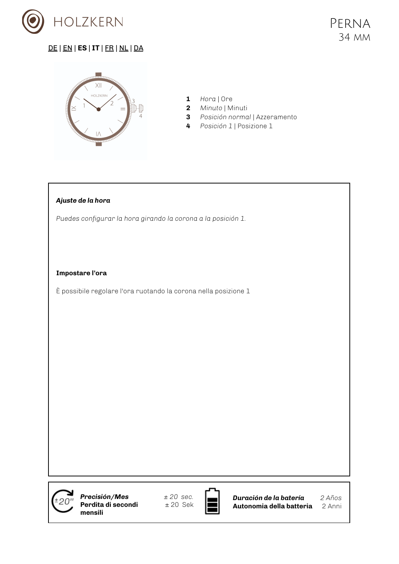



- **1** *Hora* | Ore
- **2** *Minuto* | Minuti
- **3** *Posición normal* | Azzeramento
- **4** *Posición 1* | Posizione 1

#### *Ajuste de la hora*

*Puedes configurar la hora girando la corona a la posición 1.*

#### **Impostare l'ora**

È possibile regolare l'ora ruotando la corona nella posizione 1

*Precisión/Mes ± 20 sec.* **Perdita di secondi mensili**



*Duración de la batería 2 Años* **Autonomia della batteria** 2 Anni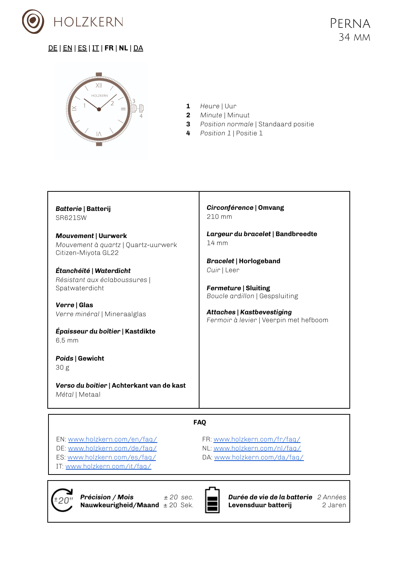

<span id="page-4-0"></span>

- **1** *Heure* | Uur
- **2** *Minute* | Minuut
- **3** *Position normale* | Standaard positie
- **4** *Position 1* | Positie 1

| Batterie   Batterij<br>SR621SW                                                           | Circonférence   Omvang<br>$210 \text{ mm}$                                  |
|------------------------------------------------------------------------------------------|-----------------------------------------------------------------------------|
| <b>Mouvement   Uurwerk</b><br>Mouvement à quartz   Quartz-uurwerk<br>Citizen-Miyota GL22 | Largeur du bracelet   Bandbreedte<br>$14 \text{ mm}$                        |
| Étanchéité   Waterdicht<br>Résistant aux éclaboussures  <br>Spatwaterdicht               | <b>Bracelet   Horlogeband</b><br>Cuir   Leer<br><b>Fermeture   Sluiting</b> |
| Verre   Glas<br>Verre minéral   Mineraalglas                                             | Boucle ardillon   Gespsluiting<br><b>Attaches   Kastbevestiging</b>         |
| Épaisseur du boîtier   Kastdikte<br>$6.5 \text{ mm}$                                     | Fermoir à levier   Veerpin met hefboom                                      |
| Poids   Gewicht<br>30g                                                                   |                                                                             |
| Verso du boitier   Achterkant van de kast<br>Métal   Metaal                              |                                                                             |

T

#### **FAQ**

EN: [www.holzkern.com/en/faq/](https://www.holzkern.com/en/faq/) DE: [www.holzkern.com/de/faq/](https://www.holzkern.com/faq/) ES: [www.holzkern.com/es/faq/](https://www.holzkern.com/es/faq/) IT: [www.holzkern.com/it/faq/](https://www.holzkern.com/it/faq/)

FR: [www.holzkern.com/fr/faq/](http://www.holzkern.com/fr/faq/) NL: [www.holzkern.com/nl/faq/](http://www.holzkern.com/nl/faq/) DA: [www.holzkern.com/da/faq/](http://www.holzkern.com/da/faq/)



*Précision / Mois ± 20 sec.* **Nauwkeurigheid/Maand** ± 20 Sek.



*Durée de vie de la batterie 2 Années* **Levensduur batterij** 2 Jaren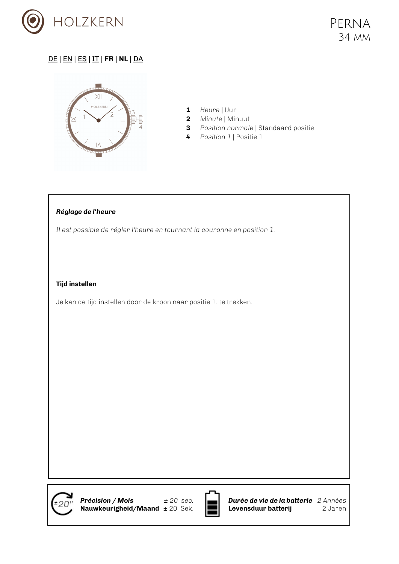



- **1** *Heure* | Uur
- **2** *Minute* | Minuut
- **3** *Position normale* | Standaard positie
- **4** *Position 1* | Positie 1

#### *Réglage de l'heure*

*Il est possible de régler l'heure en tournant la couronne en position 1.*

#### **Tijd instellen**

Je kan de tijd instellen door de kroon naar positie 1. te trekken.



*Précision / Mois ± 20 sec.* **Nauwkeurigheid/Maand** ± 20 Sek.



*Durée de vie de la batterie 2 Années* **Levensduur batterij** 2 Jaren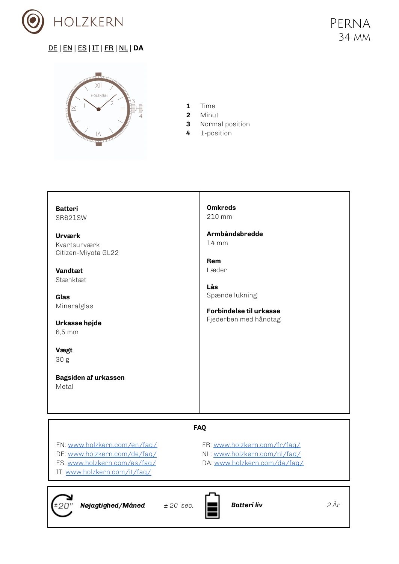

 $±20"$ 

# <span id="page-6-0"></span>DE | [EN](#page-0-0) | [ES](#page-2-0) | IT | [FR](#page-4-0) | NL | **[DA](#page-6-0)**



- **1** Time
- **2** Minut
- **3** Normal position
- **4** 1-position

| <b>Batteri</b>                                                                                                                                                                     | <b>Omkreds</b>                                                                                                                          |  |
|------------------------------------------------------------------------------------------------------------------------------------------------------------------------------------|-----------------------------------------------------------------------------------------------------------------------------------------|--|
| SR621SW                                                                                                                                                                            | 210 mm                                                                                                                                  |  |
| Urværk<br>Kvartsurværk<br>Citizen-Miyota GL22<br>Vandtæt<br>Stænktæt<br>Glas<br>Mineralglas<br>Urkasse højde<br>$6,5 \, \text{mm}$<br>Vægt<br>30g<br>Bagsiden af urkassen<br>Metal | Armbåndsbredde<br>$14 \, \text{mm}$<br><b>Rem</b><br>Læder<br>Lås<br>Spænde lukning<br>Forbindelse til urkasse<br>Fjederben med håndtag |  |
| <b>FAQ</b>                                                                                                                                                                         |                                                                                                                                         |  |
| EN: www.holzkern.com/en/faq/                                                                                                                                                       | FR: www.holzkern.com/fr/faq/                                                                                                            |  |
| DE: www.holzkern.com/de/faq/                                                                                                                                                       | NL: www.holzkern.com/nl/faq/                                                                                                            |  |
| ES: www.holzkern.com/es/faq/<br>IT: www.holzkern.com/it/faq/                                                                                                                       | DA: www.holzkern.com/da/faq/                                                                                                            |  |
|                                                                                                                                                                                    |                                                                                                                                         |  |
|                                                                                                                                                                                    |                                                                                                                                         |  |

*Nøjagtighed/Måned*  $\pm 20$  sec. **Batteri liv 2** År